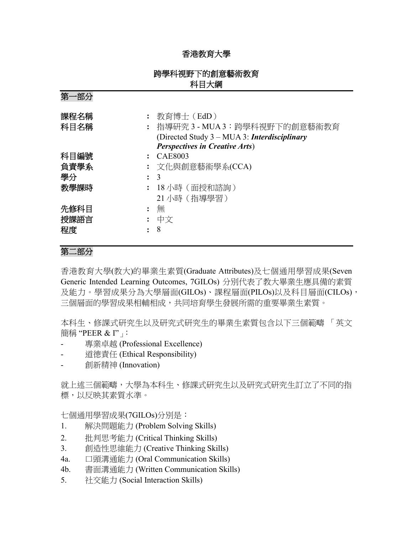## 香港教育大學

## 跨學科視野下的創意藝術教育 科目大綱

第一部分

| 課程名稱<br>科目名稱 | 教育博士 (EdD)<br>: 指導研究 3 - MUA 3:跨學科視野下的創意藝術教育<br>(Directed Study 3 – MUA 3: Interdisciplinary<br><b>Perspectives in Creative Arts</b> ) |
|--------------|----------------------------------------------------------------------------------------------------------------------------------------|
| 科目編號         | : CAE8003                                                                                                                              |
| 負責學系         | : 文化與創意藝術學系(CCA)                                                                                                                       |
| 學分           | $\therefore$ 3                                                                                                                         |
| 教學課時         | - 18 小時(面授和諮詢)                                                                                                                         |
|              | 21 小時 (指導學習)                                                                                                                           |
| 先修科目         | 無                                                                                                                                      |
| 授課語言         | : 中文                                                                                                                                   |
| 程度           | 8                                                                                                                                      |

## 第二部分

香港教育大學(教大)的畢業生素質(Graduate Attributes)及七個通用學習成果(Seven Generic Intended Learning Outcomes, 7GILOs) 分別代表了教大畢業生應具備的素質 及能力。學習成果分為大學層面(GILOs)、課程層面(PILOs)以及科目層面(CILOs), 三個層面的學習成果相輔相成,共同培育學生發展所需的重要畢業生素質。

本科生、修課式研究生以及研究式研究生的畢業生素質包含以下三個範疇 「英文 簡稱 "PEER & I"」:

- 專業卓越 (Professional Excellence)
- 道德責任 (Ethical Responsibility)
- 創新精神 (Innovation)

就上述三個範疇,大學為本科生、修課式研究生以及研究式研究生訂立了不同的指 標,以反映其素質水準。

七個通用學習成果(7GILOs)分別是:

- 1. 解決問題能力 (Problem Solving Skills)
- 2. 批判思考能力 (Critical Thinking Skills)
- 3. 創造性思維能力 (Creative Thinking Skills)
- 4a. 口頭溝通能力 (Oral Communication Skills)
- 4b. 書面溝通能力 (Written Communication Skills)
- 5. 社交能力 (Social Interaction Skills)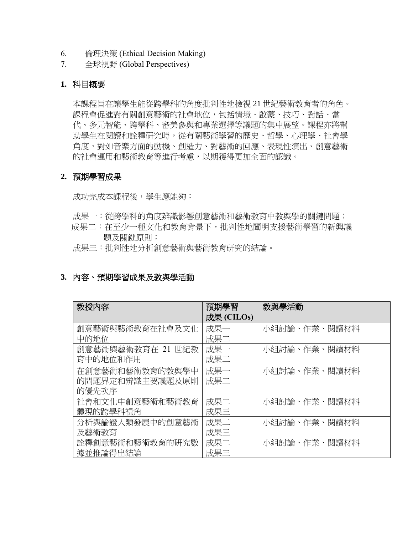- 6. 倫理決策 (Ethical Decision Making)
- 7. 全球視野 (Global Perspectives)

## **1.** 科目概要

本課程旨在讓學生能從跨學科的角度批判性地檢視 21 世紀藝術教育者的角色。 課程會促進對有關創意藝術的社會地位,包括情境、啟蒙、技巧、對話、當 代、多元智能、跨學科、審美參與和專業選擇等議題的集中展望。課程亦將幫 助學生在閱讀和詮釋研究時,從有關藝術學習的歷史、哲學、心理學、社會學 角度,對如音樂方面的動機、創造力、對藝術的回應、表現性演出、創意藝術 的社會運用和藝術教育等進行考慮,以期獲得更加全面的認識。

#### **2.** 預期學習成果

成功完成本課程後,學生應能夠:

- 成果一:從跨學科的角度辨識影響創意藝術和藝術教育中教與學的關鍵問題;
- 成果二:在至少一種文化和教育背景下,批判性地闡明支援藝術學習的新興議 題及關鍵原則;
- 成果三:批判性地分析創意藝術與藝術教育研究的結論。

## **3.** 內容、預期學習成果及教與學活動

| 教授内容              | 預期學習       | 教與學活動        |  |
|-------------------|------------|--------------|--|
|                   | 成果 (CILOs) |              |  |
| 創意藝術與藝術教育在社會及文化   | 成果一        | 小組討論、作業、閱讀材料 |  |
| 中的地位              | 成果二        |              |  |
| 創意藝術與藝術教育在 21 世紀教 | 成果一        | 小組討論、作業、閱讀材料 |  |
| 育中的地位和作用          | 成果二        |              |  |
| 在創意藝術和藝術教育的教與學中   | 成果一        | 小組討論、作業、閱讀材料 |  |
| 的問題界定和辨識主要議題及原則   | 成果二        |              |  |
| 的優先次序             |            |              |  |
| 社會和文化中創意藝術和藝術教育   | 成果二        | 小組討論、作業、閱讀材料 |  |
| 體現的跨學科視角          | 成果三        |              |  |
| 分析與論證人類發展中的創意藝術   | 成果二        | 小組討論、作業、閱讀材料 |  |
| 及藝術教育             | 成果三        |              |  |
| 詮釋創意藝術和藝術教育的研究數   | 成果二        | 小組討論、作業、閱讀材料 |  |
| 據並推論得出結論          | 成果三        |              |  |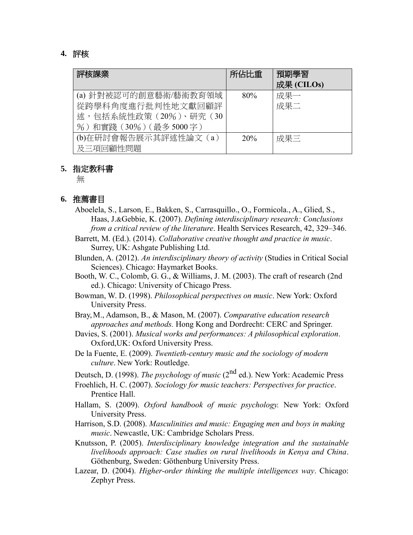### **4.** 評核

| 評核課業                                        | 所佔比重            | 預期學習<br>成果 (CILOs) |
|---------------------------------------------|-----------------|--------------------|
| (a) 針對被認可的創意藝術/藝術教育領域                       | 80%             | 成果一                |
| 從跨學科角度進行批判性地文獻回顧評<br>述,包括系統性政策 (20%)、研究 (30 |                 | 成果二                |
| %)和實踐 (30%) (最多5000字)                       |                 |                    |
| (b)在研討會報告展示其評述性論文 (a)                       | 20 <sup>%</sup> | 成果三                |
| 及三項回顧性問題                                    |                 |                    |

#### **5.** 指定教科書

無

#### **6.** 推薦書目

- Aboelela, S., Larson, E., Bakken, S., Carrasquillo., O., Formicola., A., Glied, S., Haas, J.&Gebbie, K. (2007). *Defining interdisciplinary research: Conclusions from a critical review of the literature*. Health Services Research, 42, 329–346.
- Barrett, M. (Ed.). (2014). *Collaborative creative thought and practice in music*. Surrey, UK: Ashgate Publishing Ltd.
- Blunden, A. (2012). *An interdisciplinary theory of activity* (Studies in Critical Social Sciences). Chicago: Haymarket Books.
- Booth, W. C., Colomb, G. G., & Williams, J. M. (2003). The craft of research (2nd ed.). Chicago: University of Chicago Press.
- Bowman, W. D. (1998). *Philosophical perspectives on music*. New York: Oxford University Press.
- Bray,M., Adamson, B., & Mason, M. (2007). *Comparative education research approaches and methods.* Hong Kong and Dordrecht: CERC and Springer.
- Davies, S. (2001). *Musical works and performances: A philosophical exploration*. Oxford,UK: Oxford University Press.
- De la Fuente, E. (2009). *Twentieth-century music and the sociology of modern culture*. New York: Routledge.

Deutsch, D. (1998). *The psychology of music* (2nd ed.). New York: Academic Press

- Froehlich, H. C. (2007). *Sociology for music teachers: Perspectives for practice*. Prentice Hall.
- Hallam, S. (2009). *Oxford handbook of music psychology.* New York: Oxford University Press.
- Harrison, S.D. (2008). *Masculinities and music: Engaging men and boys in making music*. Newcastle, UK: Cambridge Scholars Press.
- Knutsson, P. (2005). *Interdisciplinary knowledge integration and the sustainable livelihoods approach: Case studies on rural livelihoods in Kenya and China*. Göthenburg, Sweden: Göthenburg University Press.
- Lazear, D. (2004). *Higher-order thinking the multiple intelligences way*. Chicago: Zephyr Press.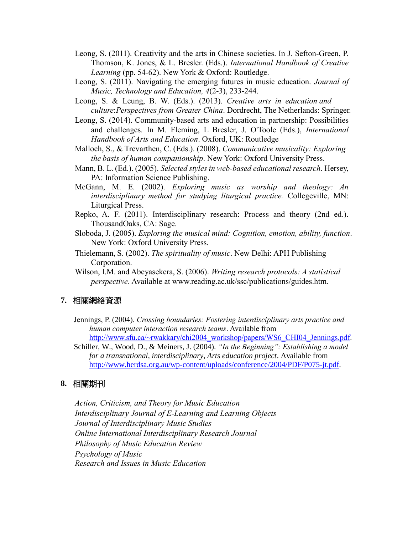- Leong, S. (2011). Creativity and the arts in Chinese societies. In J. Sefton-Green, P. Thomson, K. Jones, & L. Bresler. (Eds.). *International Handbook of Creative Learning* (pp. 54-62). New York & Oxford: Routledge.
- Leong, S. (2011). Navigating the emerging futures in music education. *Journal of Music, Technology and Education, 4*(2-3), 233-244.
- Leong, S. & Leung, B. W. (Eds.). (2013). *Creative arts in education and culture*:*Perspectives from Greater China*. Dordrecht, The Netherlands: Springer.
- Leong, S. (2014). Community-based arts and education in partnership: Possibilities and challenges. In M. Fleming, L Bresler, J. O'Toole (Eds.), *International Handbook of Arts and Education*. Oxford, UK: Routledge
- Malloch, S., & Trevarthen, C. (Eds.). (2008). *Communicative musicality: Exploring the basis of human companionship*. New York: Oxford University Press.
- Mann, B. L. (Ed.). (2005). *Selected styles in web-based educational research*. Hersey, PA: Information Science Publishing.
- McGann, M. E. (2002). *Exploring music as worship and theology: An interdisciplinary method for studying liturgical practice.* Collegeville, MN: Liturgical Press.
- Repko, A. F. (2011). Interdisciplinary research: Process and theory (2nd ed.). ThousandOaks, CA: Sage.
- Sloboda, J. (2005). *Exploring the musical mind: Cognition, emotion, ability, function*. New York: Oxford University Press.
- Thielemann, S. (2002). *The spirituality of music*. New Delhi: APH Publishing Corporation.
- Wilson, I.M. and Abeyasekera, S. (2006). *Writing research protocols: A statistical perspective*. Available at [www.reading.ac.uk/ssc/publications/guides.htm.](http://www.reading.ac.uk/ssc/publications/guides.html)

#### **7.** 相關網絡資源

- Jennings, P. (2004). *Crossing boundaries: Fostering interdisciplinary arts practice and human computer interaction research teams*. Available from [http://www.sfu.ca/~rwakkary/chi2004\\_workshop/papers/WS6\\_CHI04\\_Jennings.pdf.](http://www.sfu.ca/~rwakkary/chi2004_workshop/papers/WS6_CHI04_Jennings.pdf)
- Schiller, W., Wood, D., & Meiners, J. (2004). *"In the Beginning": Establishing a model for a transnational, interdisciplinary, Arts education project*. Available from [http://www.herdsa.org.au/wp-content/uploads/conference/2004/PDF/P075-jt.pdf.](http://www.herdsa.org.au/wp-content/uploads/conference/2004/PDF/P075-jt.pdf)

#### **8.** 相關期刊

*Action, Criticism, and Theory for Music Education Interdisciplinary Journal of E-Learning and Learning Objects Journal of Interdisciplinary Music Studies Online International Interdisciplinary Research Journal Philosophy of Music Education Review Psychology of Music Research and Issues in Music Education*